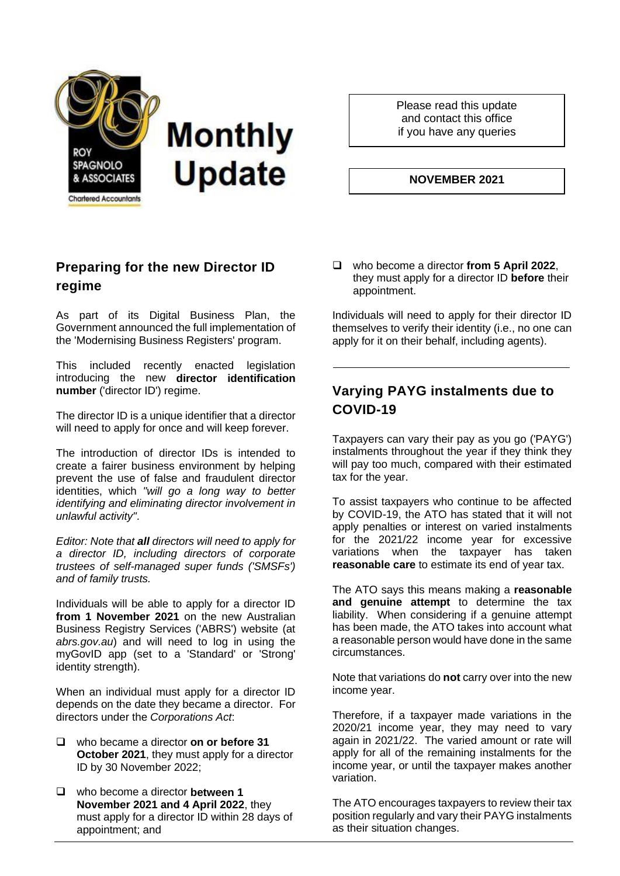

Please read this update and contact this office if you have any queries

#### **NOVEMBER 2021**

### **Preparing for the new Director ID regime**

As part of its Digital Business Plan, the Government announced the full implementation of the 'Modernising Business Registers' program.

This included recently enacted legislation introducing the new **director identification number** ('director ID') regime.

The director ID is a unique identifier that a director will need to apply for once and will keep forever.

The introduction of director IDs is intended to create a fairer business environment by helping prevent the use of false and fraudulent director identities, which *"will go a long way to better identifying and eliminating director involvement in unlawful activity"*.

*Editor: Note that all directors will need to apply for a director ID, including directors of corporate trustees of self-managed super funds ('SMSFs') and of family trusts.*

Individuals will be able to apply for a director ID **from 1 November 2021** on the new Australian Business Registry Services ('ABRS') website (at *abrs.gov.au*) and will need to log in using the myGovID app (set to a 'Standard' or 'Strong' identity strength).

When an individual must apply for a director ID depends on the date they became a director. For directors under the *Corporations Act*:

- ❑ who became a director **on or before 31 October 2021**, they must apply for a director ID by 30 November 2022;
- ❑ who become a director **between 1 November 2021 and 4 April 2022**, they must apply for a director ID within 28 days of appointment; and

❑ who become a director **from 5 April 2022**, they must apply for a director ID **before** their appointment.

Individuals will need to apply for their director ID themselves to verify their identity (i.e., no one can apply for it on their behalf, including agents).

## **Varying PAYG instalments due to COVID-19**

Taxpayers can vary their pay as you go ('PAYG') instalments throughout the year if they think they will pay too much, compared with their estimated tax for the year.

To assist taxpayers who continue to be affected by COVID-19, the ATO has stated that it will not apply penalties or interest on varied instalments for the 2021/22 income year for excessive variations when the taxpayer has taken **reasonable care** to estimate its end of year tax.

The ATO says this means making a **reasonable and genuine attempt** to determine the tax liability. When considering if a genuine attempt has been made, the ATO takes into account what a reasonable person would have done in the same circumstances.

Note that variations do **not** carry over into the new income year.

Therefore, if a taxpayer made variations in the 2020/21 income year, they may need to vary again in 2021/22. The varied amount or rate will apply for all of the remaining instalments for the income year, or until the taxpayer makes another variation.

The ATO encourages taxpayers to review their tax position regularly and vary their PAYG instalments as their situation changes.